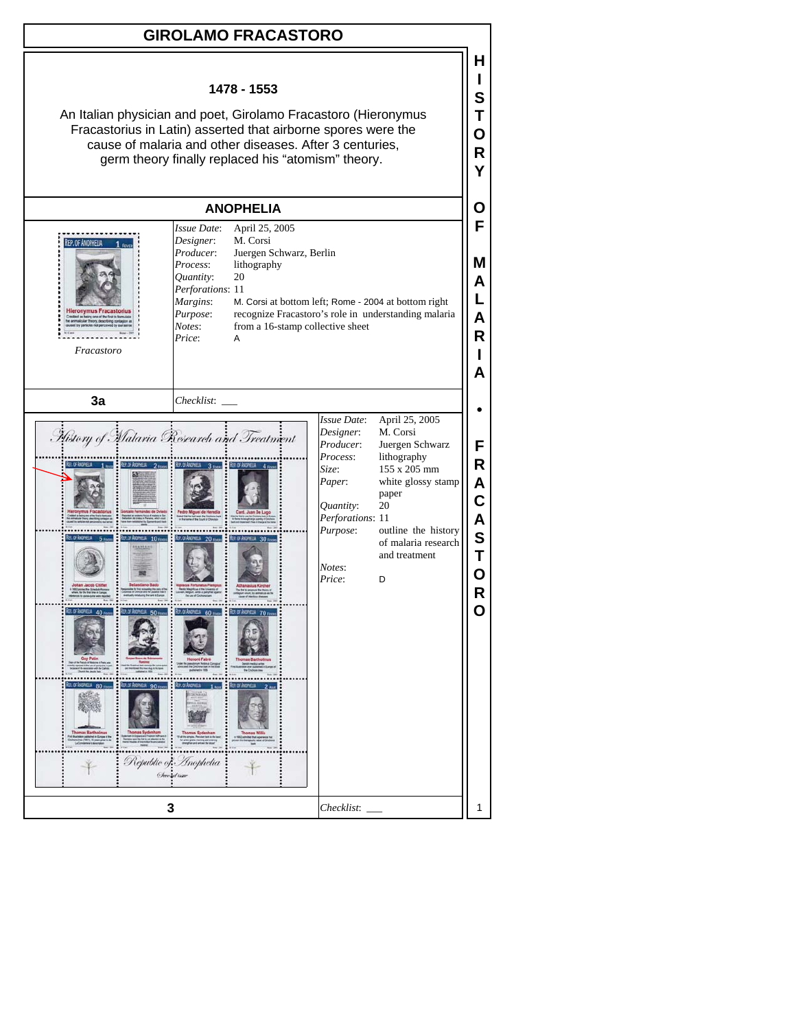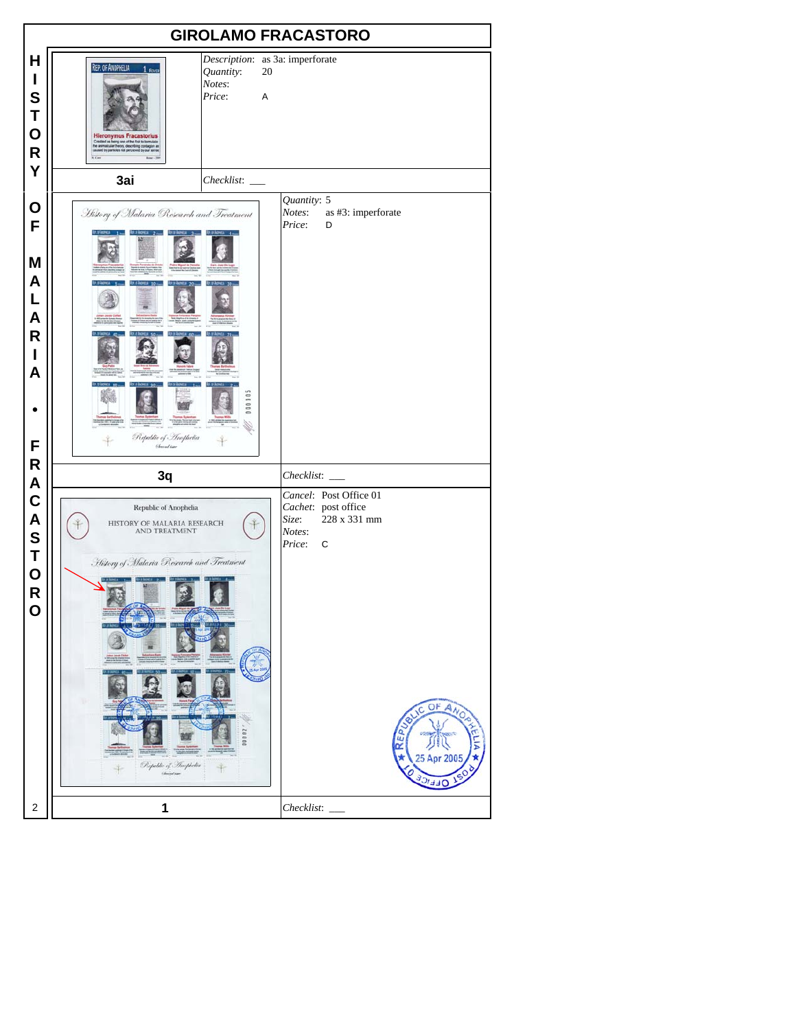| <b>GIROLAMO FRACASTORO</b>                                                                                                |                                                                                                                                                                                                                                                                                             |                                                                                                                                   |  |  |  |
|---------------------------------------------------------------------------------------------------------------------------|---------------------------------------------------------------------------------------------------------------------------------------------------------------------------------------------------------------------------------------------------------------------------------------------|-----------------------------------------------------------------------------------------------------------------------------------|--|--|--|
| н<br>I<br>S<br>Τ<br>O<br>R<br>Y                                                                                           | Description: as 3a: imperforate<br>REP. OF ANOPHELIA 1 FEVER<br>Quantity:<br>20<br>Notes:<br>Price:<br>A<br>Hieronymus Fracastorius<br>Cesied in being one of the first to formulate<br>the animatuse freety describing contages as<br>caused by particles not perceved by our sense<br>3ai |                                                                                                                                   |  |  |  |
| O<br>F<br>M<br>A<br>L<br>A<br>R<br>I<br>A<br>F<br>R<br>A<br>$\mathbf C$<br>A<br>S<br>T<br>$\mathbf O$<br>R<br>$\mathbf 0$ | History of Malaria Research and Treatment<br>000001<br>Republic of Inophelia<br><b>Chreadine</b>                                                                                                                                                                                            | Quantity: 5<br>Notes:<br>as #3: imperforate<br>Price:<br>D                                                                        |  |  |  |
|                                                                                                                           | 3q<br>Republic of Anophelia<br>HISTORY OF MALARIA RESEARCH<br>AND TREATMENT<br>History of Malaria Research and Treatment                                                                                                                                                                    | Checklist:<br>Cancel: Post Office 01<br>Cachet: post office<br>228 x 331 mm<br>Size:<br>Notes:<br>Price:<br>C<br>OF ANO<br>Щ<br>α |  |  |  |
|                                                                                                                           | Republic of Anopholia<br>Christopher                                                                                                                                                                                                                                                        | 5 Apr 2005<br>a a                                                                                                                 |  |  |  |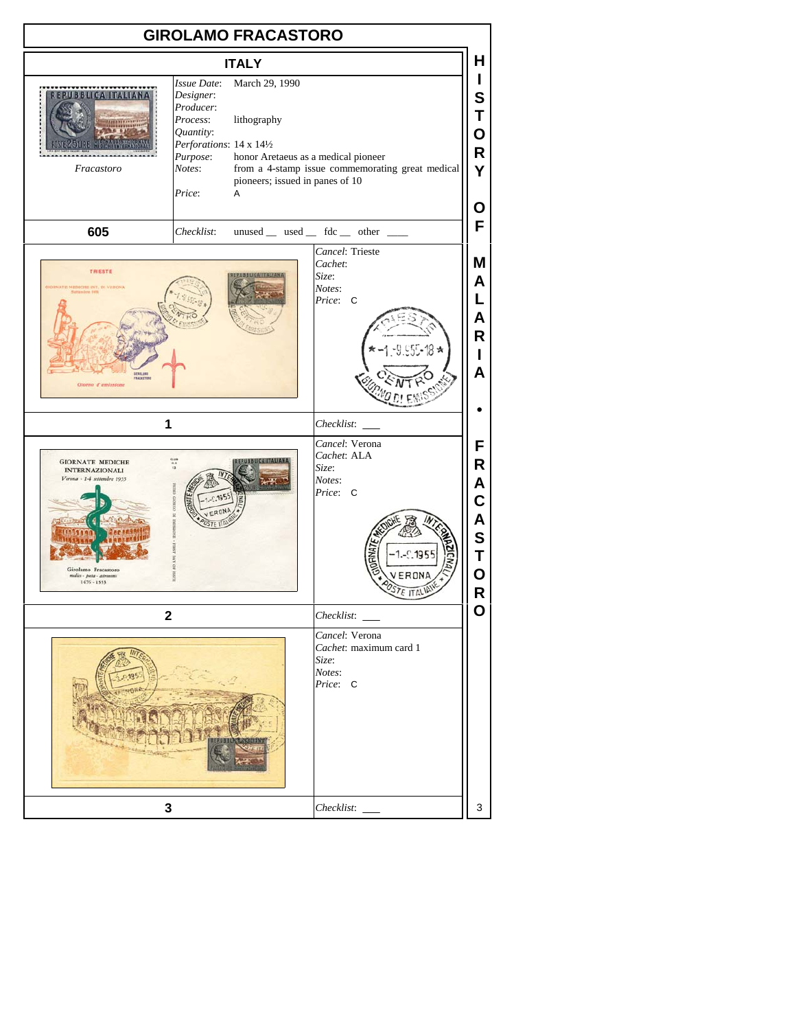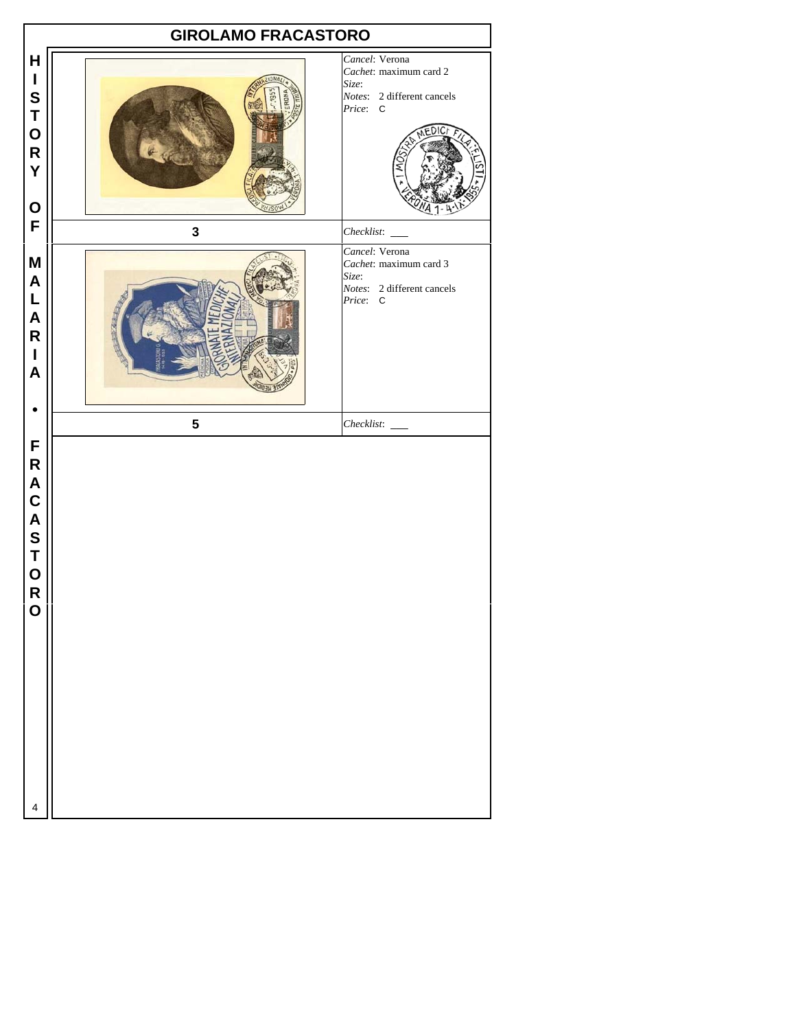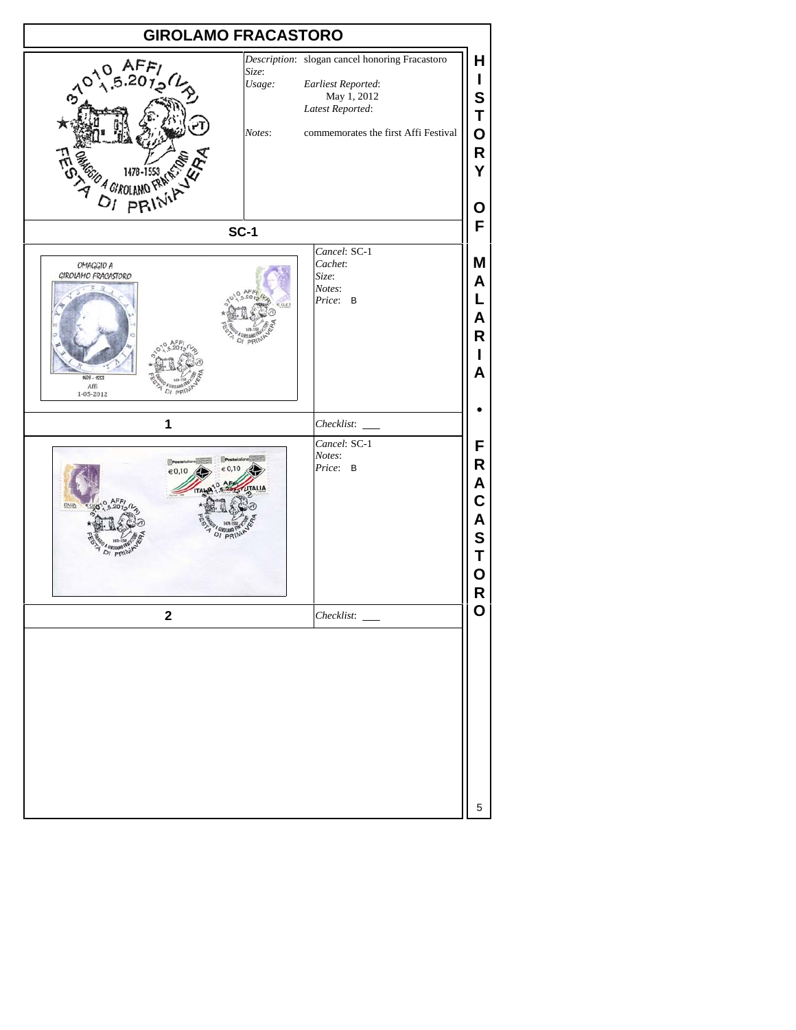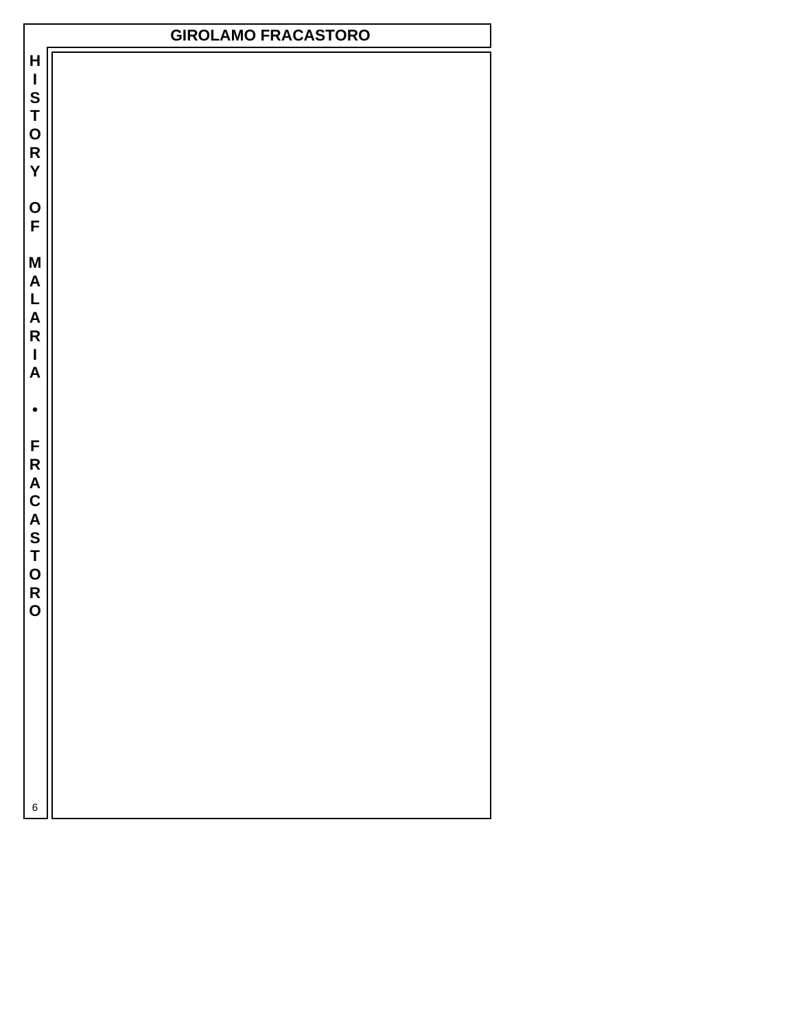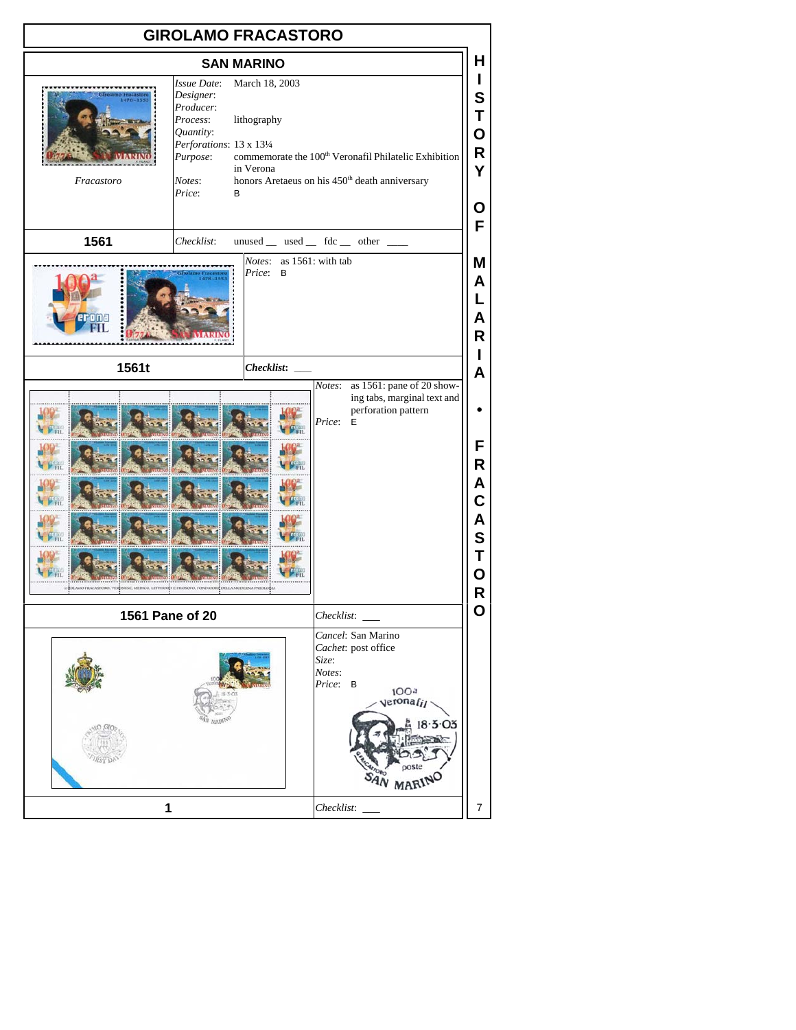| <b>GIROLAMO FRACASTORO</b>                                                                     |                                                                                                                                        |                                            |                                                                                                                              |                                           |  |  |  |
|------------------------------------------------------------------------------------------------|----------------------------------------------------------------------------------------------------------------------------------------|--------------------------------------------|------------------------------------------------------------------------------------------------------------------------------|-------------------------------------------|--|--|--|
| н<br><b>SAN MARINO</b>                                                                         |                                                                                                                                        |                                            |                                                                                                                              |                                           |  |  |  |
| Fracastoro                                                                                     | <b>Issue Date:</b><br>Designer:<br>Producer:<br>Process:<br>Quantity:<br>Perforations: 13 x 131/4<br>Purpose:<br>Notes:<br>Price:<br>B | March 18, 2003<br>lithography<br>in Verona | commemorate the $100^{\rm th}$ Veronafil Philatelic Exhibition<br>honors Aretaeus on his 450 <sup>th</sup> death anniversary | L<br>S<br>Т<br>O<br>R<br>Y<br>Ο<br>F      |  |  |  |
| 1561                                                                                           | Checklist:                                                                                                                             |                                            | $unused$ __ used __ fdc __ other __                                                                                          |                                           |  |  |  |
| erona                                                                                          |                                                                                                                                        | Notes:<br>Price:<br>B                      | as 1561: with tab                                                                                                            | Μ<br>A<br>L<br>A<br>R.                    |  |  |  |
| 1561t                                                                                          |                                                                                                                                        | <b>Checklist:</b>                          |                                                                                                                              | L<br>A                                    |  |  |  |
| GROLAMO FILACASTORO, VERDASSE, MEDICO, LETTERARD E FILOSOFO, FONDATORE DELLA MODERNA PATOLOGIA |                                                                                                                                        |                                            | as 1561: pane of 20 show-<br>Notes:<br>ing tabs, marginal text and<br>perforation pattern<br>Price:<br>E                     | F<br>R<br>A<br>C<br>A<br>S<br>Т<br>О<br>R |  |  |  |
| 1561 Pane of 20                                                                                | Checklist:                                                                                                                             | O                                          |                                                                                                                              |                                           |  |  |  |
|                                                                                                | Cancel: San Marino<br>Cachet: post office<br>Size:<br>Notes:<br>Price: B<br>100a<br>veronafil<br>AN MARING                             |                                            |                                                                                                                              |                                           |  |  |  |
| 1                                                                                              |                                                                                                                                        |                                            |                                                                                                                              | $\overline{7}$                            |  |  |  |